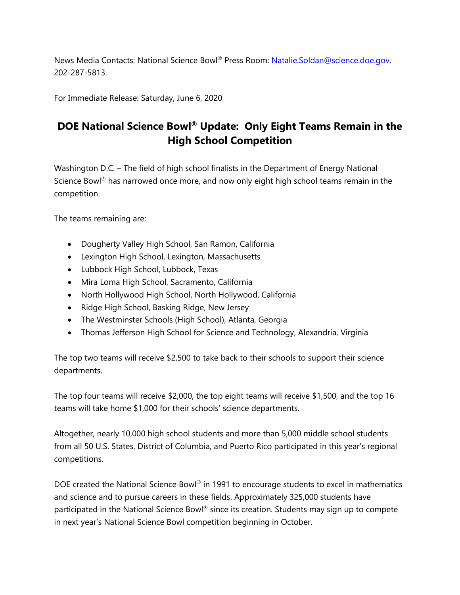News Media Contacts: National Science Bowl® Press Room: Natalie.Soldan@science.doe.gov, 202-287-5813.

For Immediate Release: Saturday, June 6, 2020

## **DOE National Science Bowl® Update: Only Eight Teams Remain in the High School Competition**

Washington D.C. – The field of high school finalists in the Department of Energy National Science Bowl<sup>®</sup> has narrowed once more, and now only eight high school teams remain in the competition.

The teams remaining are:

- Dougherty Valley High School, San Ramon, California
- Lexington High School, Lexington, Massachusetts
- Lubbock High School, Lubbock, Texas
- Mira Loma High School, Sacramento, California
- North Hollywood High School, North Hollywood, California
- Ridge High School, Basking Ridge, New Jersey
- The Westminster Schools (High School), Atlanta, Georgia
- Thomas Jefferson High School for Science and Technology, Alexandria, Virginia

The top two teams will receive \$2,500 to take back to their schools to support their science departments.

The top four teams will receive \$2,000, the top eight teams will receive \$1,500, and the top 16 teams will take home \$1,000 for their schools' science departments.

Altogether, nearly 10,000 high school students and more than 5,000 middle school students from all 50 U.S. States, District of Columbia, and Puerto Rico participated in this year's regional competitions.

DOE created the National Science Bowl® in 1991 to encourage students to excel in mathematics and science and to pursue careers in these fields. Approximately 325,000 students have participated in the National Science Bowl® since its creation. Students may sign up to compete in next year's National Science Bowl competition beginning in October.